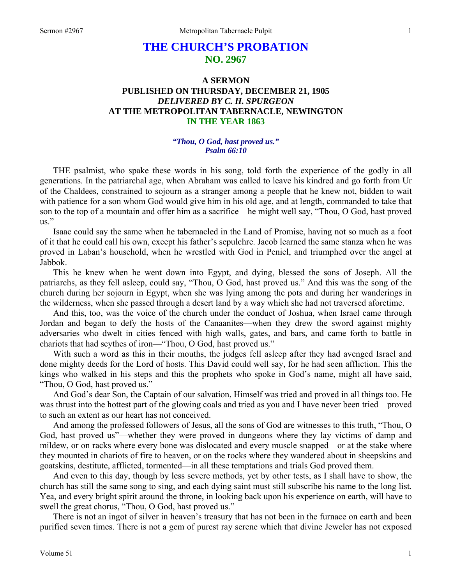# **THE CHURCH'S PROBATION NO. 2967**

## **A SERMON PUBLISHED ON THURSDAY, DECEMBER 21, 1905**  *DELIVERED BY C. H. SPURGEON*  **AT THE METROPOLITAN TABERNACLE, NEWINGTON IN THE YEAR 1863**

### *"Thou, O God, hast proved us." Psalm 66:10*

THE psalmist, who spake these words in his song, told forth the experience of the godly in all generations. In the patriarchal age, when Abraham was called to leave his kindred and go forth from Ur of the Chaldees, constrained to sojourn as a stranger among a people that he knew not, bidden to wait with patience for a son whom God would give him in his old age, and at length, commanded to take that son to the top of a mountain and offer him as a sacrifice—he might well say, "Thou, O God, hast proved us."

 Isaac could say the same when he tabernacled in the Land of Promise, having not so much as a foot of it that he could call his own, except his father's sepulchre. Jacob learned the same stanza when he was proved in Laban's household, when he wrestled with God in Peniel, and triumphed over the angel at Jabbok.

 This he knew when he went down into Egypt, and dying, blessed the sons of Joseph. All the patriarchs, as they fell asleep, could say, "Thou, O God, hast proved us." And this was the song of the church during her sojourn in Egypt, when she was lying among the pots and during her wanderings in the wilderness, when she passed through a desert land by a way which she had not traversed aforetime.

 And this, too, was the voice of the church under the conduct of Joshua, when Israel came through Jordan and began to defy the hosts of the Canaanites—when they drew the sword against mighty adversaries who dwelt in cities fenced with high walls, gates, and bars, and came forth to battle in chariots that had scythes of iron—"Thou, O God, hast proved us."

 With such a word as this in their mouths, the judges fell asleep after they had avenged Israel and done mighty deeds for the Lord of hosts. This David could well say, for he had seen affliction. This the kings who walked in his steps and this the prophets who spoke in God's name, might all have said, "Thou, O God, hast proved us."

 And God's dear Son, the Captain of our salvation, Himself was tried and proved in all things too. He was thrust into the hottest part of the glowing coals and tried as you and I have never been tried—proved to such an extent as our heart has not conceived.

 And among the professed followers of Jesus, all the sons of God are witnesses to this truth, "Thou, O God, hast proved us"—whether they were proved in dungeons where they lay victims of damp and mildew, or on racks where every bone was dislocated and every muscle snapped—or at the stake where they mounted in chariots of fire to heaven, or on the rocks where they wandered about in sheepskins and goatskins, destitute, afflicted, tormented—in all these temptations and trials God proved them.

 And even to this day, though by less severe methods, yet by other tests, as I shall have to show, the church has still the same song to sing, and each dying saint must still subscribe his name to the long list. Yea, and every bright spirit around the throne, in looking back upon his experience on earth, will have to swell the great chorus, "Thou, O God, hast proved us."

 There is not an ingot of silver in heaven's treasury that has not been in the furnace on earth and been purified seven times. There is not a gem of purest ray serene which that divine Jeweler has not exposed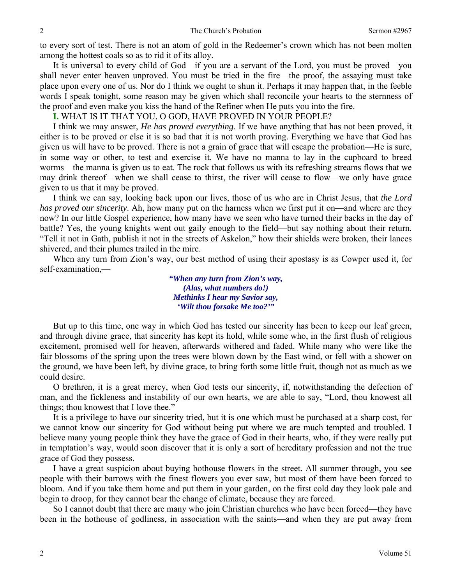to every sort of test. There is not an atom of gold in the Redeemer's crown which has not been molten among the hottest coals so as to rid it of its alloy.

 It is universal to every child of God—if you are a servant of the Lord, you must be proved—you shall never enter heaven unproved. You must be tried in the fire—the proof, the assaying must take place upon every one of us. Nor do I think we ought to shun it. Perhaps it may happen that, in the feeble words I speak tonight, some reason may be given which shall reconcile your hearts to the sternness of the proof and even make you kiss the hand of the Refiner when He puts you into the fire.

**I.** WHAT IS IT THAT YOU, O GOD, HAVE PROVED IN YOUR PEOPLE?

 I think we may answer, *He has proved everything*. If we have anything that has not been proved, it either is to be proved or else it is so bad that it is not worth proving. Everything we have that God has given us will have to be proved. There is not a grain of grace that will escape the probation—He is sure, in some way or other, to test and exercise it. We have no manna to lay in the cupboard to breed worms—the manna is given us to eat. The rock that follows us with its refreshing streams flows that we may drink thereof—when we shall cease to thirst, the river will cease to flow—we only have grace given to us that it may be proved.

 I think we can say, looking back upon our lives, those of us who are in Christ Jesus, that *the Lord has proved our sincerity*. Ah, how many put on the harness when we first put it on—and where are they now? In our little Gospel experience, how many have we seen who have turned their backs in the day of battle? Yes, the young knights went out gaily enough to the field—but say nothing about their return. "Tell it not in Gath, publish it not in the streets of Askelon," how their shields were broken, their lances shivered, and their plumes trailed in the mire.

 When any turn from Zion's way, our best method of using their apostasy is as Cowper used it, for self-examination,—

> *"When any turn from Zion's way, (Alas, what numbers do!) Methinks I hear my Savior say, 'Wilt thou forsake Me too?'"*

But up to this time, one way in which God has tested our sincerity has been to keep our leaf green, and through divine grace, that sincerity has kept its hold, while some who, in the first flush of religious excitement, promised well for heaven, afterwards withered and faded. While many who were like the fair blossoms of the spring upon the trees were blown down by the East wind, or fell with a shower on the ground, we have been left, by divine grace, to bring forth some little fruit, though not as much as we could desire.

 O brethren, it is a great mercy, when God tests our sincerity, if, notwithstanding the defection of man, and the fickleness and instability of our own hearts, we are able to say, "Lord, thou knowest all things; thou knowest that I love thee."

 It is a privilege to have our sincerity tried, but it is one which must be purchased at a sharp cost, for we cannot know our sincerity for God without being put where we are much tempted and troubled. I believe many young people think they have the grace of God in their hearts, who, if they were really put in temptation's way, would soon discover that it is only a sort of hereditary profession and not the true grace of God they possess.

 I have a great suspicion about buying hothouse flowers in the street. All summer through, you see people with their barrows with the finest flowers you ever saw, but most of them have been forced to bloom. And if you take them home and put them in your garden, on the first cold day they look pale and begin to droop, for they cannot bear the change of climate, because they are forced.

 So I cannot doubt that there are many who join Christian churches who have been forced—they have been in the hothouse of godliness, in association with the saints—and when they are put away from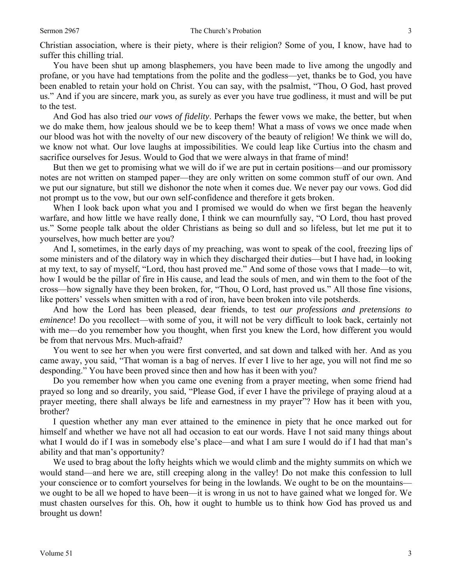Christian association, where is their piety, where is their religion? Some of you, I know, have had to suffer this chilling trial.

 You have been shut up among blasphemers, you have been made to live among the ungodly and profane, or you have had temptations from the polite and the godless—yet, thanks be to God, you have been enabled to retain your hold on Christ. You can say, with the psalmist, "Thou, O God, hast proved us." And if you are sincere, mark you, as surely as ever you have true godliness, it must and will be put to the test.

 And God has also tried *our vows of fidelity*. Perhaps the fewer vows we make, the better, but when we do make them, how jealous should we be to keep them! What a mass of vows we once made when our blood was hot with the novelty of our new discovery of the beauty of religion! We think we will do, we know not what. Our love laughs at impossibilities. We could leap like Curtius into the chasm and sacrifice ourselves for Jesus. Would to God that we were always in that frame of mind!

 But then we get to promising what we will do if we are put in certain positions—and our promissory notes are not written on stamped paper—they are only written on some common stuff of our own. And we put our signature, but still we dishonor the note when it comes due. We never pay our vows. God did not prompt us to the vow, but our own self-confidence and therefore it gets broken.

When I look back upon what you and I promised we would do when we first began the heavenly warfare, and how little we have really done, I think we can mournfully say, "O Lord, thou hast proved us." Some people talk about the older Christians as being so dull and so lifeless, but let me put it to yourselves, how much better are you?

 And I, sometimes, in the early days of my preaching, was wont to speak of the cool, freezing lips of some ministers and of the dilatory way in which they discharged their duties—but I have had, in looking at my text, to say of myself, "Lord, thou hast proved me." And some of those vows that I made—to wit, how I would be the pillar of fire in His cause, and lead the souls of men, and win them to the foot of the cross—how signally have they been broken, for, "Thou, O Lord, hast proved us." All those fine visions, like potters' vessels when smitten with a rod of iron, have been broken into vile potsherds.

 And how the Lord has been pleased, dear friends, to test *our professions and pretensions to eminence*! Do you recollect—with some of you, it will not be very difficult to look back, certainly not with me—do you remember how you thought, when first you knew the Lord, how different you would be from that nervous Mrs. Much-afraid?

 You went to see her when you were first converted, and sat down and talked with her. And as you came away, you said, "That woman is a bag of nerves. If ever I live to her age, you will not find me so desponding." You have been proved since then and how has it been with you?

 Do you remember how when you came one evening from a prayer meeting, when some friend had prayed so long and so drearily, you said, "Please God, if ever I have the privilege of praying aloud at a prayer meeting, there shall always be life and earnestness in my prayer"? How has it been with you, brother?

 I question whether any man ever attained to the eminence in piety that he once marked out for himself and whether we have not all had occasion to eat our words. Have I not said many things about what I would do if I was in somebody else's place—and what I am sure I would do if I had that man's ability and that man's opportunity?

 We used to brag about the lofty heights which we would climb and the mighty summits on which we would stand—and here we are, still creeping along in the valley! Do not make this confession to lull your conscience or to comfort yourselves for being in the lowlands. We ought to be on the mountains we ought to be all we hoped to have been—it is wrong in us not to have gained what we longed for. We must chasten ourselves for this. Oh, how it ought to humble us to think how God has proved us and brought us down!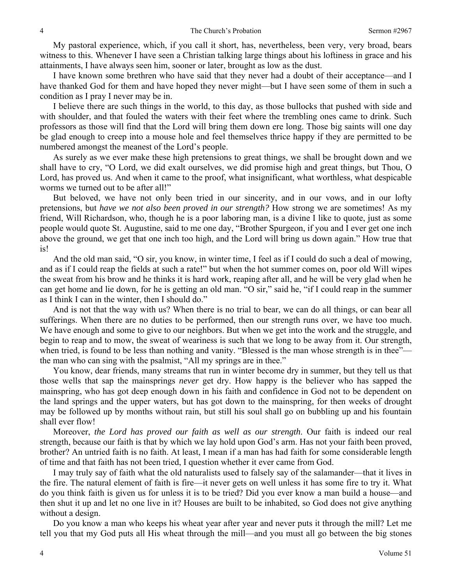My pastoral experience, which, if you call it short, has, nevertheless, been very, very broad, bears witness to this. Whenever I have seen a Christian talking large things about his loftiness in grace and his attainments, I have always seen him, sooner or later, brought as low as the dust.

 I have known some brethren who have said that they never had a doubt of their acceptance—and I have thanked God for them and have hoped they never might—but I have seen some of them in such a condition as I pray I never may be in.

 I believe there are such things in the world, to this day, as those bullocks that pushed with side and with shoulder, and that fouled the waters with their feet where the trembling ones came to drink. Such professors as those will find that the Lord will bring them down ere long. Those big saints will one day be glad enough to creep into a mouse hole and feel themselves thrice happy if they are permitted to be numbered amongst the meanest of the Lord's people.

 As surely as we ever make these high pretensions to great things, we shall be brought down and we shall have to cry, "O Lord, we did exalt ourselves, we did promise high and great things, but Thou, O Lord, has proved us. And when it came to the proof, what insignificant, what worthless, what despicable worms we turned out to be after all!"

 But beloved, we have not only been tried in our sincerity, and in our vows, and in our lofty pretensions, but *have we not also been proved in our strength?* How strong we are sometimes! As my friend, Will Richardson, who, though he is a poor laboring man, is a divine I like to quote, just as some people would quote St. Augustine, said to me one day, "Brother Spurgeon, if you and I ever get one inch above the ground, we get that one inch too high, and the Lord will bring us down again." How true that is!

 And the old man said, "O sir, you know, in winter time, I feel as if I could do such a deal of mowing, and as if I could reap the fields at such a rate!" but when the hot summer comes on, poor old Will wipes the sweat from his brow and he thinks it is hard work, reaping after all, and he will be very glad when he can get home and lie down, for he is getting an old man. "O sir," said he, "if I could reap in the summer as I think I can in the winter, then I should do."

 And is not that the way with us? When there is no trial to bear, we can do all things, or can bear all sufferings. When there are no duties to be performed, then our strength runs over, we have too much. We have enough and some to give to our neighbors. But when we get into the work and the struggle, and begin to reap and to mow, the sweat of weariness is such that we long to be away from it. Our strength, when tried, is found to be less than nothing and vanity. "Blessed is the man whose strength is in thee" the man who can sing with the psalmist, "All my springs are in thee."

 You know, dear friends, many streams that run in winter become dry in summer, but they tell us that those wells that sap the mainsprings *never* get dry. How happy is the believer who has sapped the mainspring, who has got deep enough down in his faith and confidence in God not to be dependent on the land springs and the upper waters, but has got down to the mainspring, for then weeks of drought may be followed up by months without rain, but still his soul shall go on bubbling up and his fountain shall ever flow!

 Moreover, *the Lord has proved our faith as well as our strength*. Our faith is indeed our real strength, because our faith is that by which we lay hold upon God's arm. Has not your faith been proved, brother? An untried faith is no faith. At least, I mean if a man has had faith for some considerable length of time and that faith has not been tried, I question whether it ever came from God.

 I may truly say of faith what the old naturalists used to falsely say of the salamander—that it lives in the fire. The natural element of faith is fire—it never gets on well unless it has some fire to try it. What do you think faith is given us for unless it is to be tried? Did you ever know a man build a house—and then shut it up and let no one live in it? Houses are built to be inhabited, so God does not give anything without a design.

 Do you know a man who keeps his wheat year after year and never puts it through the mill? Let me tell you that my God puts all His wheat through the mill—and you must all go between the big stones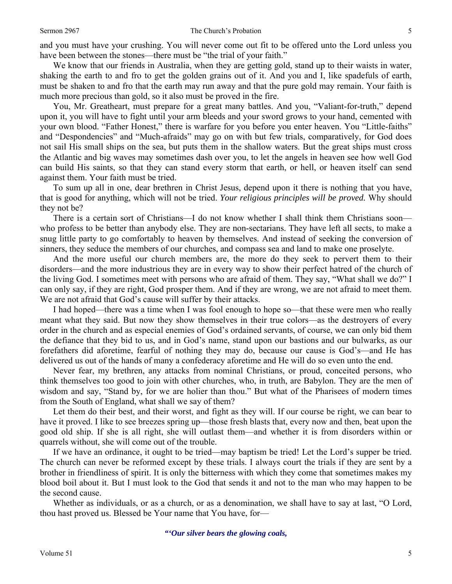and you must have your crushing. You will never come out fit to be offered unto the Lord unless you have been between the stones—there must be "the trial of your faith."

We know that our friends in Australia, when they are getting gold, stand up to their waists in water, shaking the earth to and fro to get the golden grains out of it. And you and I, like spadefuls of earth, must be shaken to and fro that the earth may run away and that the pure gold may remain. Your faith is much more precious than gold, so it also must be proved in the fire.

 You, Mr. Greatheart, must prepare for a great many battles. And you, "Valiant-for-truth," depend upon it, you will have to fight until your arm bleeds and your sword grows to your hand, cemented with your own blood. "Father Honest," there is warfare for you before you enter heaven. You "Little-faiths" and "Despondencies" and "Much-afraids" may go on with but few trials, comparatively, for God does not sail His small ships on the sea, but puts them in the shallow waters. But the great ships must cross the Atlantic and big waves may sometimes dash over you, to let the angels in heaven see how well God can build His saints, so that they can stand every storm that earth, or hell, or heaven itself can send against them. Your faith must be tried.

 To sum up all in one, dear brethren in Christ Jesus, depend upon it there is nothing that you have, that is good for anything, which will not be tried. *Your religious principles will be proved.* Why should they not be?

 There is a certain sort of Christians—I do not know whether I shall think them Christians soon who profess to be better than anybody else. They are non-sectarians. They have left all sects, to make a snug little party to go comfortably to heaven by themselves. And instead of seeking the conversion of sinners, they seduce the members of our churches, and compass sea and land to make one proselyte.

 And the more useful our church members are, the more do they seek to pervert them to their disorders—and the more industrious they are in every way to show their perfect hatred of the church of the living God. I sometimes meet with persons who are afraid of them. They say, "What shall we do?" I can only say, if they are right, God prosper them. And if they are wrong, we are not afraid to meet them. We are not afraid that God's cause will suffer by their attacks.

 I had hoped—there was a time when I was fool enough to hope so—that these were men who really meant what they said. But now they show themselves in their true colors—as the destroyers of every order in the church and as especial enemies of God's ordained servants, of course, we can only bid them the defiance that they bid to us, and in God's name, stand upon our bastions and our bulwarks, as our forefathers did aforetime, fearful of nothing they may do, because our cause is God's—and He has delivered us out of the hands of many a confederacy aforetime and He will do so even unto the end.

 Never fear, my brethren, any attacks from nominal Christians, or proud, conceited persons, who think themselves too good to join with other churches, who, in truth, are Babylon. They are the men of wisdom and say, "Stand by, for we are holier than thou." But what of the Pharisees of modern times from the South of England, what shall we say of them?

 Let them do their best, and their worst, and fight as they will. If our course be right, we can bear to have it proved. I like to see breezes spring up—those fresh blasts that, every now and then, beat upon the good old ship. If she is all right, she will outlast them—and whether it is from disorders within or quarrels without, she will come out of the trouble.

 If we have an ordinance, it ought to be tried—may baptism be tried! Let the Lord's supper be tried. The church can never be reformed except by these trials. I always court the trials if they are sent by a brother in friendliness of spirit. It is only the bitterness with which they come that sometimes makes my blood boil about it. But I must look to the God that sends it and not to the man who may happen to be the second cause.

 Whether as individuals, or as a church, or as a denomination, we shall have to say at last, "O Lord, thou hast proved us. Blessed be Your name that You have, for—

*"'Our silver bears the glowing coals,*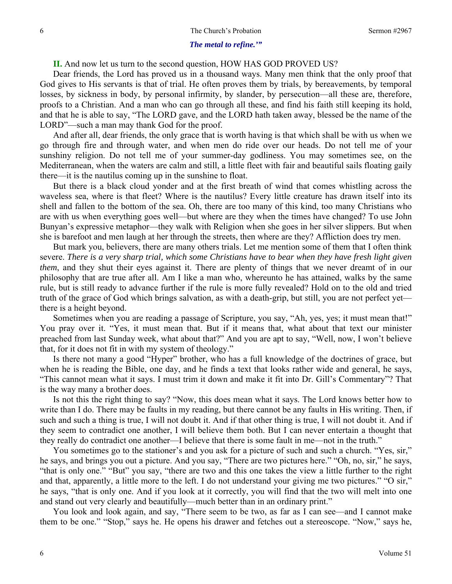### *The metal to refine.'"*

**II.** And now let us turn to the second question, HOW HAS GOD PROVED US?

 Dear friends, the Lord has proved us in a thousand ways. Many men think that the only proof that God gives to His servants is that of trial. He often proves them by trials, by bereavements, by temporal losses, by sickness in body, by personal infirmity, by slander, by persecution—all these are, therefore, proofs to a Christian. And a man who can go through all these, and find his faith still keeping its hold, and that he is able to say, "The LORD gave, and the LORD hath taken away, blessed be the name of the LORD"—such a man may thank God for the proof.

 And after all, dear friends, the only grace that is worth having is that which shall be with us when we go through fire and through water, and when men do ride over our heads. Do not tell me of your sunshiny religion. Do not tell me of your summer-day godliness. You may sometimes see, on the Mediterranean, when the waters are calm and still, a little fleet with fair and beautiful sails floating gaily there—it is the nautilus coming up in the sunshine to float.

 But there is a black cloud yonder and at the first breath of wind that comes whistling across the waveless sea, where is that fleet? Where is the nautilus? Every little creature has drawn itself into its shell and fallen to the bottom of the sea. Oh, there are too many of this kind, too many Christians who are with us when everything goes well—but where are they when the times have changed? To use John Bunyan's expressive metaphor—they walk with Religion when she goes in her silver slippers. But when she is barefoot and men laugh at her through the streets, then where are they? Affliction does try men.

 But mark you, believers, there are many others trials. Let me mention some of them that I often think severe. *There is a very sharp trial, which some Christians have to bear when they have fresh light given them*, and they shut their eyes against it. There are plenty of things that we never dreamt of in our philosophy that are true after all. Am I like a man who, whereunto he has attained, walks by the same rule, but is still ready to advance further if the rule is more fully revealed? Hold on to the old and tried truth of the grace of God which brings salvation, as with a death-grip, but still, you are not perfect yet there is a height beyond.

 Sometimes when you are reading a passage of Scripture, you say, "Ah, yes, yes; it must mean that!" You pray over it. "Yes, it must mean that. But if it means that, what about that text our minister preached from last Sunday week, what about that?" And you are apt to say, "Well, now, I won't believe that, for it does not fit in with my system of theology."

 Is there not many a good "Hyper" brother, who has a full knowledge of the doctrines of grace, but when he is reading the Bible, one day, and he finds a text that looks rather wide and general, he says, "This cannot mean what it says. I must trim it down and make it fit into Dr. Gill's Commentary"? That is the way many a brother does.

 Is not this the right thing to say? "Now, this does mean what it says. The Lord knows better how to write than I do. There may be faults in my reading, but there cannot be any faults in His writing. Then, if such and such a thing is true, I will not doubt it. And if that other thing is true, I will not doubt it. And if they seem to contradict one another, I will believe them both. But I can never entertain a thought that they really do contradict one another—I believe that there is some fault in me—not in the truth."

You sometimes go to the stationer's and you ask for a picture of such and such a church. "Yes, sir," he says, and brings you out a picture. And you say, "There are two pictures here." "Oh, no, sir," he says, "that is only one." "But" you say, "there are two and this one takes the view a little further to the right and that, apparently, a little more to the left. I do not understand your giving me two pictures." "O sir," he says, "that is only one. And if you look at it correctly, you will find that the two will melt into one and stand out very clearly and beautifully—much better than in an ordinary print."

 You look and look again, and say, "There seem to be two, as far as I can see—and I cannot make them to be one." "Stop," says he. He opens his drawer and fetches out a stereoscope. "Now," says he,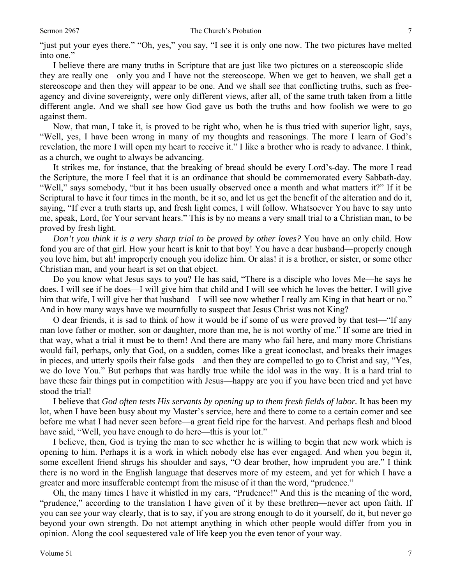"just put your eyes there." "Oh, yes," you say, "I see it is only one now. The two pictures have melted into one."

 I believe there are many truths in Scripture that are just like two pictures on a stereoscopic slide they are really one—only you and I have not the stereoscope. When we get to heaven, we shall get a stereoscope and then they will appear to be one. And we shall see that conflicting truths, such as freeagency and divine sovereignty, were only different views, after all, of the same truth taken from a little different angle. And we shall see how God gave us both the truths and how foolish we were to go against them.

 Now, that man, I take it, is proved to be right who, when he is thus tried with superior light, says, "Well, yes, I have been wrong in many of my thoughts and reasonings. The more I learn of God's revelation, the more I will open my heart to receive it." I like a brother who is ready to advance. I think, as a church, we ought to always be advancing.

 It strikes me, for instance, that the breaking of bread should be every Lord's-day. The more I read the Scripture, the more I feel that it is an ordinance that should be commemorated every Sabbath-day. "Well," says somebody, "but it has been usually observed once a month and what matters it?" If it be Scriptural to have it four times in the month, be it so, and let us get the benefit of the alteration and do it, saying, "If ever a truth starts up, and fresh light comes, I will follow. Whatsoever You have to say unto me, speak, Lord, for Your servant hears." This is by no means a very small trial to a Christian man, to be proved by fresh light.

*Don't you think it is a very sharp trial to be proved by other loves?* You have an only child. How fond you are of that girl. How your heart is knit to that boy! You have a dear husband—properly enough you love him, but ah! improperly enough you idolize him. Or alas! it is a brother, or sister, or some other Christian man, and your heart is set on that object.

 Do you know what Jesus says to you? He has said, "There is a disciple who loves Me—he says he does. I will see if he does—I will give him that child and I will see which he loves the better. I will give him that wife, I will give her that husband—I will see now whether I really am King in that heart or no." And in how many ways have we mournfully to suspect that Jesus Christ was not King?

 O dear friends, it is sad to think of how it would be if some of us were proved by that test—"If any man love father or mother, son or daughter, more than me, he is not worthy of me." If some are tried in that way, what a trial it must be to them! And there are many who fail here, and many more Christians would fail, perhaps, only that God, on a sudden, comes like a great iconoclast, and breaks their images in pieces, and utterly spoils their false gods—and then they are compelled to go to Christ and say, "Yes, we do love You." But perhaps that was hardly true while the idol was in the way. It is a hard trial to have these fair things put in competition with Jesus—happy are you if you have been tried and yet have stood the trial!

I believe that *God often tests His servants by opening up to them fresh fields of labor*. It has been my lot, when I have been busy about my Master's service, here and there to come to a certain corner and see before me what I had never seen before—a great field ripe for the harvest. And perhaps flesh and blood have said, "Well, you have enough to do here—this is your lot."

 I believe, then, God is trying the man to see whether he is willing to begin that new work which is opening to him. Perhaps it is a work in which nobody else has ever engaged. And when you begin it, some excellent friend shrugs his shoulder and says, "O dear brother, how imprudent you are." I think there is no word in the English language that deserves more of my esteem, and yet for which I have a greater and more insufferable contempt from the misuse of it than the word, "prudence."

 Oh, the many times I have it whistled in my ears, "Prudence!" And this is the meaning of the word, "prudence," according to the translation I have given of it by these brethren—never act upon faith. If you can see your way clearly, that is to say, if you are strong enough to do it yourself, do it, but never go beyond your own strength. Do not attempt anything in which other people would differ from you in opinion. Along the cool sequestered vale of life keep you the even tenor of your way.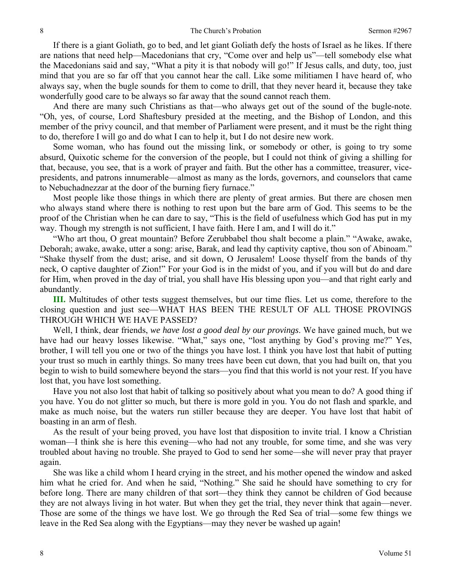If there is a giant Goliath, go to bed, and let giant Goliath defy the hosts of Israel as he likes. If there are nations that need help—Macedonians that cry, "Come over and help us"—tell somebody else what the Macedonians said and say, "What a pity it is that nobody will go!" If Jesus calls, and duty, too, just mind that you are so far off that you cannot hear the call. Like some militiamen I have heard of, who always say, when the bugle sounds for them to come to drill, that they never heard it, because they take wonderfully good care to be always so far away that the sound cannot reach them.

 And there are many such Christians as that—who always get out of the sound of the bugle-note. "Oh, yes, of course, Lord Shaftesbury presided at the meeting, and the Bishop of London, and this member of the privy council, and that member of Parliament were present, and it must be the right thing to do, therefore I will go and do what I can to help it, but I do not desire new work.

 Some woman, who has found out the missing link, or somebody or other, is going to try some absurd, Quixotic scheme for the conversion of the people, but I could not think of giving a shilling for that, because, you see, that is a work of prayer and faith. But the other has a committee, treasurer, vicepresidents, and patrons innumerable—almost as many as the lords, governors, and counselors that came to Nebuchadnezzar at the door of the burning fiery furnace."

 Most people like those things in which there are plenty of great armies. But there are chosen men who always stand where there is nothing to rest upon but the bare arm of God. This seems to be the proof of the Christian when he can dare to say, "This is the field of usefulness which God has put in my way. Though my strength is not sufficient, I have faith. Here I am, and I will do it."

 "Who art thou, O great mountain? Before Zerubbabel thou shalt become a plain." "Awake, awake, Deborah; awake, awake, utter a song: arise, Barak, and lead thy captivity captive, thou son of Abinoam." "Shake thyself from the dust; arise, and sit down, O Jerusalem! Loose thyself from the bands of thy neck, O captive daughter of Zion!" For your God is in the midst of you, and if you will but do and dare for Him, when proved in the day of trial, you shall have His blessing upon you—and that right early and abundantly.

**III.** Multitudes of other tests suggest themselves, but our time flies. Let us come, therefore to the closing question and just see—WHAT HAS BEEN THE RESULT OF ALL THOSE PROVINGS THROUGH WHICH WE HAVE PASSED?

 Well, I think, dear friends, *we have lost a good deal by our provings*. We have gained much, but we have had our heavy losses likewise. "What," says one, "lost anything by God's proving me?" Yes, brother, I will tell you one or two of the things you have lost. I think you have lost that habit of putting your trust so much in earthly things. So many trees have been cut down, that you had built on, that you begin to wish to build somewhere beyond the stars—you find that this world is not your rest. If you have lost that, you have lost something.

 Have you not also lost that habit of talking so positively about what you mean to do? A good thing if you have. You do not glitter so much, but there is more gold in you. You do not flash and sparkle, and make as much noise, but the waters run stiller because they are deeper. You have lost that habit of boasting in an arm of flesh.

 As the result of your being proved, you have lost that disposition to invite trial. I know a Christian woman—I think she is here this evening—who had not any trouble, for some time, and she was very troubled about having no trouble. She prayed to God to send her some—she will never pray that prayer again.

 She was like a child whom I heard crying in the street, and his mother opened the window and asked him what he cried for. And when he said, "Nothing." She said he should have something to cry for before long. There are many children of that sort—they think they cannot be children of God because they are not always living in hot water. But when they get the trial, they never think that again—never. Those are some of the things we have lost. We go through the Red Sea of trial—some few things we leave in the Red Sea along with the Egyptians—may they never be washed up again!